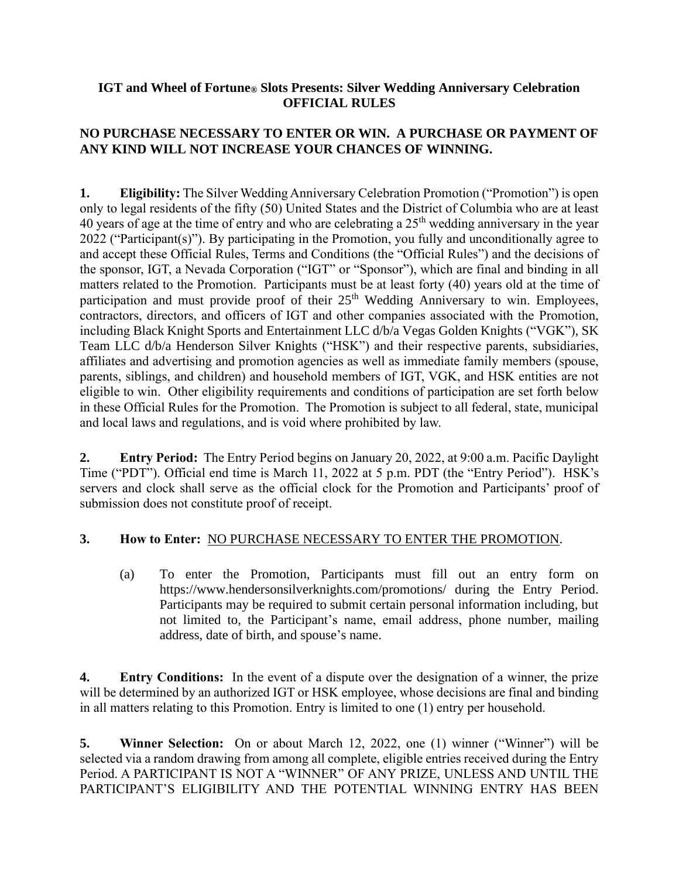#### **IGT and Wheel of Fortune® Slots Presents: Silver Wedding Anniversary Celebration OFFICIAL RULES**

# **NO PURCHASE NECESSARY TO ENTER OR WIN. A PURCHASE OR PAYMENT OF ANY KIND WILL NOT INCREASE YOUR CHANCES OF WINNING.**

**1. Eligibility:** The Silver Wedding Anniversary Celebration Promotion ("Promotion") is open only to legal residents of the fifty (50) United States and the District of Columbia who are at least 40 years of age at the time of entry and who are celebrating a 25th wedding anniversary in the year 2022 ("Participant(s)"). By participating in the Promotion, you fully and unconditionally agree to and accept these Official Rules, Terms and Conditions (the "Official Rules") and the decisions of the sponsor, IGT, a Nevada Corporation ("IGT" or "Sponsor"), which are final and binding in all matters related to the Promotion. Participants must be at least forty (40) years old at the time of participation and must provide proof of their  $25<sup>th</sup>$  Wedding Anniversary to win. Employees, contractors, directors, and officers of IGT and other companies associated with the Promotion, including Black Knight Sports and Entertainment LLC d/b/a Vegas Golden Knights ("VGK"), SK Team LLC d/b/a Henderson Silver Knights ("HSK") and their respective parents, subsidiaries, affiliates and advertising and promotion agencies as well as immediate family members (spouse, parents, siblings, and children) and household members of IGT, VGK, and HSK entities are not eligible to win. Other eligibility requirements and conditions of participation are set forth below in these Official Rules for the Promotion. The Promotion is subject to all federal, state, municipal and local laws and regulations, and is void where prohibited by law.

**2. Entry Period:** The Entry Period begins on January 20, 2022, at 9:00 a.m. Pacific Daylight Time ("PDT"). Official end time is March 11, 2022 at 5 p.m. PDT (the "Entry Period"). HSK's servers and clock shall serve as the official clock for the Promotion and Participants' proof of submission does not constitute proof of receipt.

### **3. How to Enter:** NO PURCHASE NECESSARY TO ENTER THE PROMOTION.

(a) To enter the Promotion, Participants must fill out an entry form on https://www.hendersonsilverknights.com/promotions/ during the Entry Period. Participants may be required to submit certain personal information including, but not limited to, the Participant's name, email address, phone number, mailing address, date of birth, and spouse's name.

**4. Entry Conditions:** In the event of a dispute over the designation of a winner, the prize will be determined by an authorized IGT or HSK employee, whose decisions are final and binding in all matters relating to this Promotion. Entry is limited to one (1) entry per household.

**5. Winner Selection:** On or about March 12, 2022, one (1) winner ("Winner") will be selected via a random drawing from among all complete, eligible entries received during the Entry Period. A PARTICIPANT IS NOT A "WINNER" OF ANY PRIZE, UNLESS AND UNTIL THE PARTICIPANT'S ELIGIBILITY AND THE POTENTIAL WINNING ENTRY HAS BEEN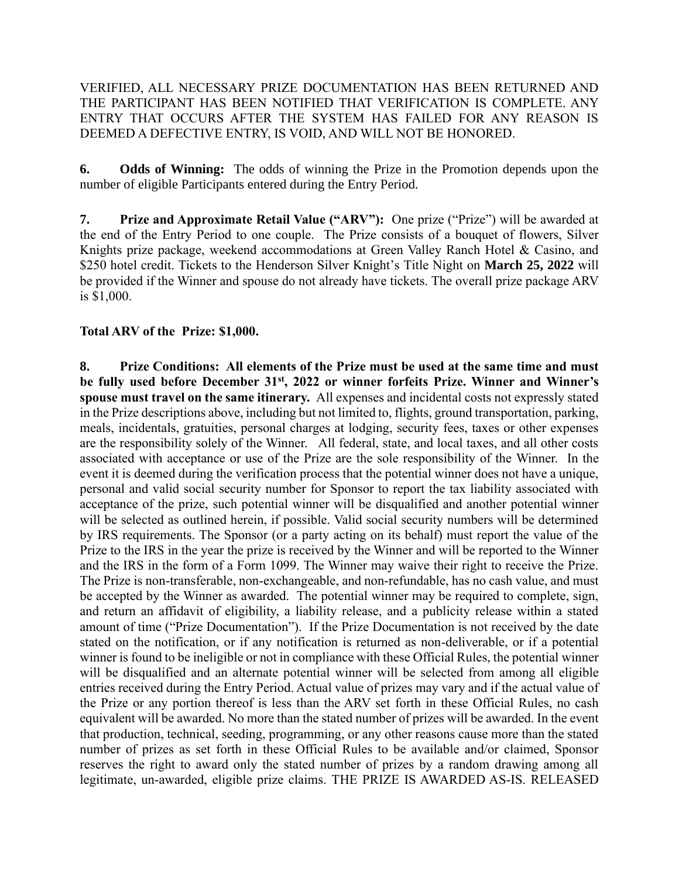VERIFIED, ALL NECESSARY PRIZE DOCUMENTATION HAS BEEN RETURNED AND THE PARTICIPANT HAS BEEN NOTIFIED THAT VERIFICATION IS COMPLETE. ANY ENTRY THAT OCCURS AFTER THE SYSTEM HAS FAILED FOR ANY REASON IS DEEMED A DEFECTIVE ENTRY, IS VOID, AND WILL NOT BE HONORED.

**6. Odds of Winning:** The odds of winning the Prize in the Promotion depends upon the number of eligible Participants entered during the Entry Period.

**7. Prize and Approximate Retail Value ("ARV"):** One prize ("Prize") will be awarded at the end of the Entry Period to one couple. The Prize consists of a bouquet of flowers, Silver Knights prize package, weekend accommodations at Green Valley Ranch Hotel & Casino, and \$250 hotel credit. Tickets to the Henderson Silver Knight's Title Night on **March 25, 2022** will be provided if the Winner and spouse do not already have tickets. The overall prize package ARV is \$1,000.

### **Total ARV of the Prize: \$1,000.**

**8. Prize Conditions: All elements of the Prize must be used at the same time and must be fully used before December 31st, 2022 or winner forfeits Prize. Winner and Winner's spouse must travel on the same itinerary.** All expenses and incidental costs not expressly stated in the Prize descriptions above, including but not limited to, flights, ground transportation, parking, meals, incidentals, gratuities, personal charges at lodging, security fees, taxes or other expenses are the responsibility solely of the Winner. All federal, state, and local taxes, and all other costs associated with acceptance or use of the Prize are the sole responsibility of the Winner. In the event it is deemed during the verification process that the potential winner does not have a unique, personal and valid social security number for Sponsor to report the tax liability associated with acceptance of the prize, such potential winner will be disqualified and another potential winner will be selected as outlined herein, if possible. Valid social security numbers will be determined by IRS requirements. The Sponsor (or a party acting on its behalf) must report the value of the Prize to the IRS in the year the prize is received by the Winner and will be reported to the Winner and the IRS in the form of a Form 1099. The Winner may waive their right to receive the Prize. The Prize is non-transferable, non-exchangeable, and non-refundable, has no cash value, and must be accepted by the Winner as awarded. The potential winner may be required to complete, sign, and return an affidavit of eligibility, a liability release, and a publicity release within a stated amount of time ("Prize Documentation"). If the Prize Documentation is not received by the date stated on the notification, or if any notification is returned as non-deliverable, or if a potential winner is found to be ineligible or not in compliance with these Official Rules, the potential winner will be disqualified and an alternate potential winner will be selected from among all eligible entries received during the Entry Period. Actual value of prizes may vary and if the actual value of the Prize or any portion thereof is less than the ARV set forth in these Official Rules, no cash equivalent will be awarded. No more than the stated number of prizes will be awarded. In the event that production, technical, seeding, programming, or any other reasons cause more than the stated number of prizes as set forth in these Official Rules to be available and/or claimed, Sponsor reserves the right to award only the stated number of prizes by a random drawing among all legitimate, un-awarded, eligible prize claims. THE PRIZE IS AWARDED AS-IS. RELEASED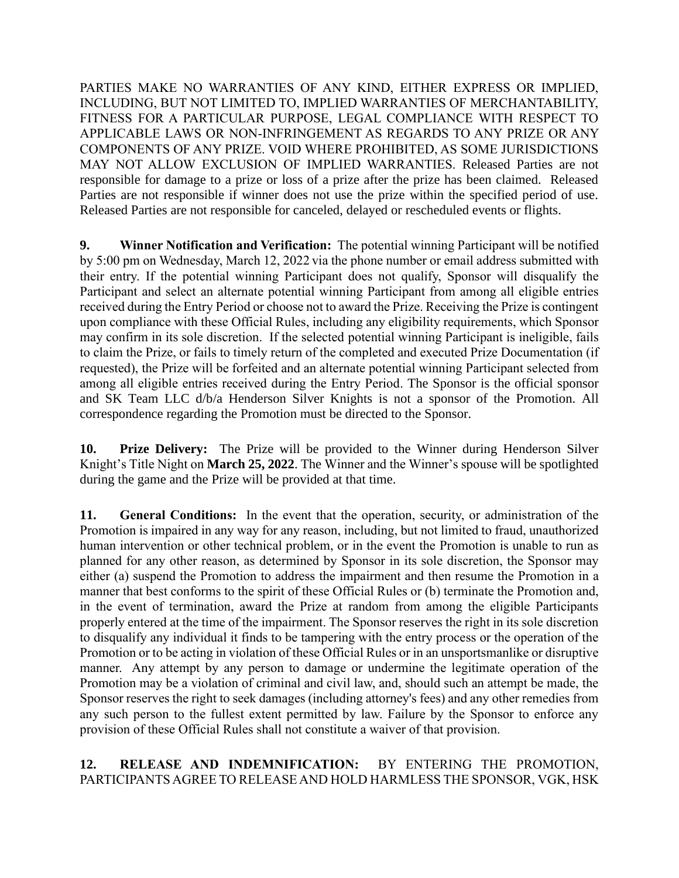PARTIES MAKE NO WARRANTIES OF ANY KIND, EITHER EXPRESS OR IMPLIED, INCLUDING, BUT NOT LIMITED TO, IMPLIED WARRANTIES OF MERCHANTABILITY, FITNESS FOR A PARTICULAR PURPOSE, LEGAL COMPLIANCE WITH RESPECT TO APPLICABLE LAWS OR NON-INFRINGEMENT AS REGARDS TO ANY PRIZE OR ANY COMPONENTS OF ANY PRIZE. VOID WHERE PROHIBITED, AS SOME JURISDICTIONS MAY NOT ALLOW EXCLUSION OF IMPLIED WARRANTIES. Released Parties are not responsible for damage to a prize or loss of a prize after the prize has been claimed. Released Parties are not responsible if winner does not use the prize within the specified period of use. Released Parties are not responsible for canceled, delayed or rescheduled events or flights.

**9. Winner Notification and Verification:** The potential winning Participant will be notified by 5:00 pm on Wednesday, March 12, 2022 via the phone number or email address submitted with their entry. If the potential winning Participant does not qualify, Sponsor will disqualify the Participant and select an alternate potential winning Participant from among all eligible entries received during the Entry Period or choose not to award the Prize. Receiving the Prize is contingent upon compliance with these Official Rules, including any eligibility requirements, which Sponsor may confirm in its sole discretion. If the selected potential winning Participant is ineligible, fails to claim the Prize, or fails to timely return of the completed and executed Prize Documentation (if requested), the Prize will be forfeited and an alternate potential winning Participant selected from among all eligible entries received during the Entry Period. The Sponsor is the official sponsor and SK Team LLC d/b/a Henderson Silver Knights is not a sponsor of the Promotion. All correspondence regarding the Promotion must be directed to the Sponsor.

**10. Prize Delivery:** The Prize will be provided to the Winner during Henderson Silver Knight's Title Night on **March 25, 2022**. The Winner and the Winner's spouse will be spotlighted during the game and the Prize will be provided at that time.

**11. General Conditions:** In the event that the operation, security, or administration of the Promotion is impaired in any way for any reason, including, but not limited to fraud, unauthorized human intervention or other technical problem, or in the event the Promotion is unable to run as planned for any other reason, as determined by Sponsor in its sole discretion, the Sponsor may either (a) suspend the Promotion to address the impairment and then resume the Promotion in a manner that best conforms to the spirit of these Official Rules or (b) terminate the Promotion and, in the event of termination, award the Prize at random from among the eligible Participants properly entered at the time of the impairment. The Sponsor reserves the right in its sole discretion to disqualify any individual it finds to be tampering with the entry process or the operation of the Promotion or to be acting in violation of these Official Rules or in an unsportsmanlike or disruptive manner. Any attempt by any person to damage or undermine the legitimate operation of the Promotion may be a violation of criminal and civil law, and, should such an attempt be made, the Sponsor reserves the right to seek damages (including attorney's fees) and any other remedies from any such person to the fullest extent permitted by law. Failure by the Sponsor to enforce any provision of these Official Rules shall not constitute a waiver of that provision.

# **12. RELEASE AND INDEMNIFICATION:** BY ENTERING THE PROMOTION, PARTICIPANTS AGREE TO RELEASE AND HOLD HARMLESS THE SPONSOR, VGK, HSK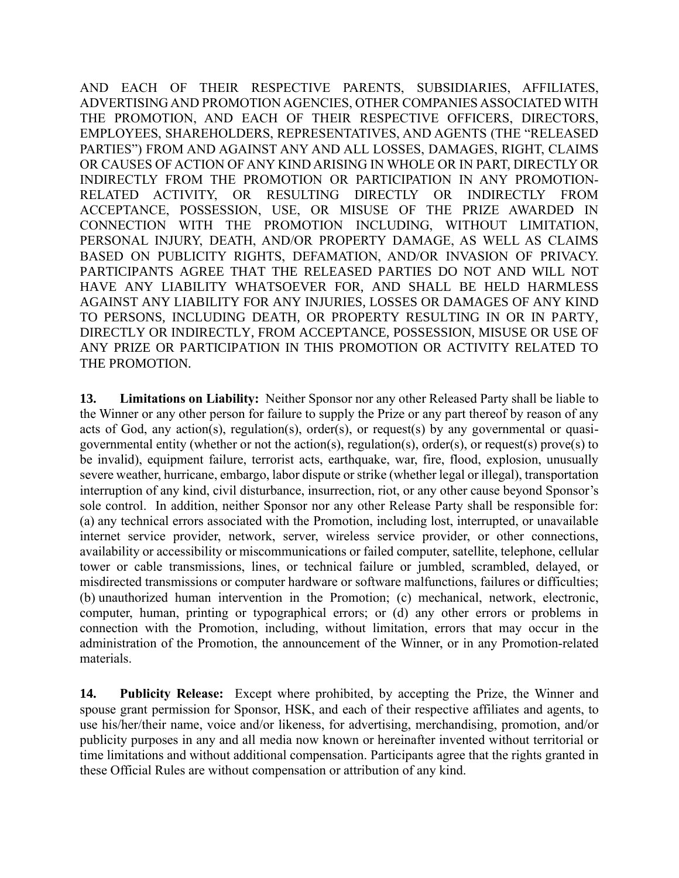AND EACH OF THEIR RESPECTIVE PARENTS, SUBSIDIARIES, AFFILIATES, ADVERTISING AND PROMOTION AGENCIES, OTHER COMPANIES ASSOCIATED WITH THE PROMOTION, AND EACH OF THEIR RESPECTIVE OFFICERS, DIRECTORS, EMPLOYEES, SHAREHOLDERS, REPRESENTATIVES, AND AGENTS (THE "RELEASED PARTIES") FROM AND AGAINST ANY AND ALL LOSSES, DAMAGES, RIGHT, CLAIMS OR CAUSES OF ACTION OF ANY KIND ARISING IN WHOLE OR IN PART, DIRECTLY OR INDIRECTLY FROM THE PROMOTION OR PARTICIPATION IN ANY PROMOTION-RELATED ACTIVITY, OR RESULTING DIRECTLY OR INDIRECTLY FROM ACCEPTANCE, POSSESSION, USE, OR MISUSE OF THE PRIZE AWARDED IN CONNECTION WITH THE PROMOTION INCLUDING, WITHOUT LIMITATION, PERSONAL INJURY, DEATH, AND/OR PROPERTY DAMAGE, AS WELL AS CLAIMS BASED ON PUBLICITY RIGHTS, DEFAMATION, AND/OR INVASION OF PRIVACY. PARTICIPANTS AGREE THAT THE RELEASED PARTIES DO NOT AND WILL NOT HAVE ANY LIABILITY WHATSOEVER FOR, AND SHALL BE HELD HARMLESS AGAINST ANY LIABILITY FOR ANY INJURIES, LOSSES OR DAMAGES OF ANY KIND TO PERSONS, INCLUDING DEATH, OR PROPERTY RESULTING IN OR IN PARTY, DIRECTLY OR INDIRECTLY, FROM ACCEPTANCE, POSSESSION, MISUSE OR USE OF ANY PRIZE OR PARTICIPATION IN THIS PROMOTION OR ACTIVITY RELATED TO THE PROMOTION.

**13. Limitations on Liability:** Neither Sponsor nor any other Released Party shall be liable to the Winner or any other person for failure to supply the Prize or any part thereof by reason of any acts of God, any action(s), regulation(s), order(s), or request(s) by any governmental or quasigovernmental entity (whether or not the action(s), regulation(s), order(s), or request(s) prove(s) to be invalid), equipment failure, terrorist acts, earthquake, war, fire, flood, explosion, unusually severe weather, hurricane, embargo, labor dispute or strike (whether legal or illegal), transportation interruption of any kind, civil disturbance, insurrection, riot, or any other cause beyond Sponsor's sole control. In addition, neither Sponsor nor any other Release Party shall be responsible for: (a) any technical errors associated with the Promotion, including lost, interrupted, or unavailable internet service provider, network, server, wireless service provider, or other connections, availability or accessibility or miscommunications or failed computer, satellite, telephone, cellular tower or cable transmissions, lines, or technical failure or jumbled, scrambled, delayed, or misdirected transmissions or computer hardware or software malfunctions, failures or difficulties; (b) unauthorized human intervention in the Promotion; (c) mechanical, network, electronic, computer, human, printing or typographical errors; or (d) any other errors or problems in connection with the Promotion, including, without limitation, errors that may occur in the administration of the Promotion, the announcement of the Winner, or in any Promotion-related materials.

**14. Publicity Release:** Except where prohibited, by accepting the Prize, the Winner and spouse grant permission for Sponsor, HSK, and each of their respective affiliates and agents, to use his/her/their name, voice and/or likeness, for advertising, merchandising, promotion, and/or publicity purposes in any and all media now known or hereinafter invented without territorial or time limitations and without additional compensation. Participants agree that the rights granted in these Official Rules are without compensation or attribution of any kind.